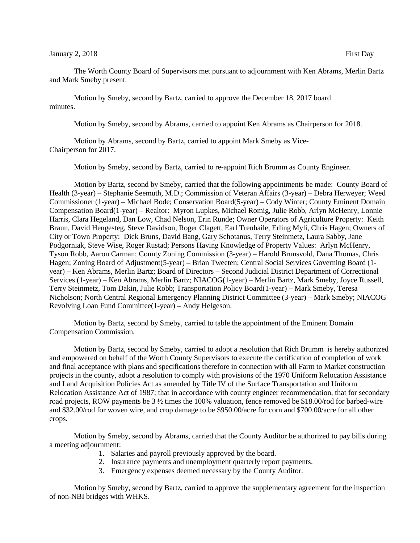The Worth County Board of Supervisors met pursuant to adjournment with Ken Abrams, Merlin Bartz and Mark Smeby present.

Motion by Smeby, second by Bartz, carried to approve the December 18, 2017 board minutes.

Motion by Smeby, second by Abrams, carried to appoint Ken Abrams as Chairperson for 2018.

Motion by Abrams, second by Bartz, carried to appoint Mark Smeby as Vice-Chairperson for 2017.

Motion by Smeby, second by Bartz, carried to re-appoint Rich Brumm as County Engineer.

Motion by Bartz, second by Smeby, carried that the following appointments be made: County Board of Health (3-year) – Stephanie Seemuth, M.D.; Commission of Veteran Affairs (3-year) – Debra Herweyer; Weed Commissioner (1-year) – Michael Bode; Conservation Board(5-year) – Cody Winter; County Eminent Domain Compensation Board(1-year) – Realtor: Myron Lupkes, Michael Romig, Julie Robb, Arlyn McHenry, Lonnie Harris, Clara Hegeland, Dan Low, Chad Nelson, Erin Runde; Owner Operators of Agriculture Property: Keith Braun, David Hengesteg, Steve Davidson, Roger Clagett, Earl Trenhaile, Erling Myli, Chris Hagen; Owners of City or Town Property: Dick Bruns, David Bang, Gary Schotanus, Terry Steinmetz, Laura Sabby, Jane Podgorniak, Steve Wise, Roger Rustad; Persons Having Knowledge of Property Values: Arlyn McHenry, Tyson Robb, Aaron Carman; County Zoning Commission (3-year) – Harold Brunsvold, Dana Thomas, Chris Hagen; Zoning Board of Adjustment(5-year) – Brian Tweeten; Central Social Services Governing Board (1 year) – Ken Abrams, Merlin Bartz; Board of Directors – Second Judicial District Department of Correctional Services (1-year) – Ken Abrams, Merlin Bartz; NIACOG(1-year) – Merlin Bartz, Mark Smeby, Joyce Russell, Terry Steinmetz, Tom Dakin, Julie Robb; Transportation Policy Board(1-year) – Mark Smeby, Teresa Nicholson; North Central Regional Emergency Planning District Committee (3-year) – Mark Smeby; NIACOG Revolving Loan Fund Committee(1-year) – Andy Helgeson.

Motion by Bartz, second by Smeby, carried to table the appointment of the Eminent Domain Compensation Commission.

Motion by Bartz, second by Smeby, carried to adopt a resolution that Rich Brumm is hereby authorized and empowered on behalf of the Worth County Supervisors to execute the certification of completion of work and final acceptance with plans and specifications therefore in connection with all Farm to Market construction projects in the county, adopt a resolution to comply with provisions of the 1970 Uniform Relocation Assistance and Land Acquisition Policies Act as amended by Title IV of the Surface Transportation and Uniform Relocation Assistance Act of 1987; that in accordance with county engineer recommendation, that for secondary road projects, ROW payments be 3  $\frac{1}{2}$  times the 100% valuation, fence removed be \$18.00/rod for barbed-wire and \$32.00/rod for woven wire, and crop damage to be \$950.00/acre for corn and \$700.00/acre for all other crops.

Motion by Smeby, second by Abrams, carried that the County Auditor be authorized to pay bills during a meeting adjournment:

- 1. Salaries and payroll previously approved by the board.
- 2. Insurance payments and unemployment quarterly report payments.
- 3. Emergency expenses deemed necessary by the County Auditor.

Motion by Smeby, second by Bartz, carried to approve the supplementary agreement for the inspection of non-NBI bridges with WHKS.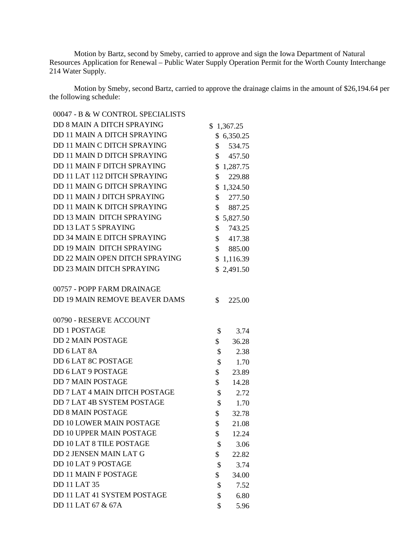Motion by Bartz, second by Smeby, carried to approve and sign the Iowa Department of Natural Resources Application for Renewal – Public Water Supply Operation Permit for the Worth County Interchange 214 Water Supply.

Motion by Smeby, second Bartz, carried to approve the drainage claims in the amount of \$26,194.64 per the following schedule:

00047 - B & W CONTROL SPECIALISTS DD 8 MAIN A DITCH SPRAYING \$1,367.25 DD 11 MAIN A DITCH SPRAYING \$ 6,350.25 DD 11 MAIN C DITCH SPRAYING \$ 534.75 DD 11 MAIN D DITCH SPRAYING \$457.50 DD 11 MAIN F DITCH SPRAYING \$1,287.75 DD 11 LAT 112 DITCH SPRAYING \$ 229.88 DD 11 MAIN G DITCH SPRAYING \$1,324.50 DD 11 MAIN J DITCH SPRAYING \$ 277.50 DD 11 MAIN K DITCH SPRAYING \$ 887.25 DD 13 MAIN DITCH SPRAYING \$5,827.50 DD 13 LAT 5 SPRAYING \$ 743.25 DD 34 MAIN E DITCH SPRAYING \$417.38 DD 19 MAIN DITCH SPRAYING \$ 885.00 DD 22 MAIN OPEN DITCH SPRAYING \$1,116.39 DD 23 MAIN DITCH SPRAYING \$2,491.50 00757 - POPP FARM DRAINAGE DD 19 MAIN REMOVE BEAVER DAMS \$225.00 00790 - RESERVE ACCOUNT DD 1 POSTAGE \$ 3.74 DD 2 MAIN POSTAGE \$ 36.28  $DD 6 LAT 8A$   $$ 2.38$ DD 6 LAT 8C POSTAGE \$ 1.70 DD 6 LAT 9 POSTAGE \$ 23.89 DD 7 MAIN POSTAGE \$ 14.28 DD 7 LAT 4 MAIN DITCH POSTAGE \$ 2.72 DD 7 LAT 4B SYSTEM POSTAGE \$ 1.70 DD 8 MAIN POSTAGE \$ 32.78 DD 10 LOWER MAIN POSTAGE \$ 21.08 DD 10 UPPER MAIN POSTAGE \$ 12.24 DD 10 LAT 8 TILE POSTAGE \$ 3.06 DD 2 JENSEN MAIN LAT G  $$22.82$ DD 10 LAT 9 POSTAGE \$ 3.74 DD 11 MAIN F POSTAGE \$ 34.00 DD 11 LAT 35 \$ 7.52 DD 11 LAT 41 SYSTEM POSTAGE \$ 6.80 DD 11 LAT 67 & 67A \$ 5.96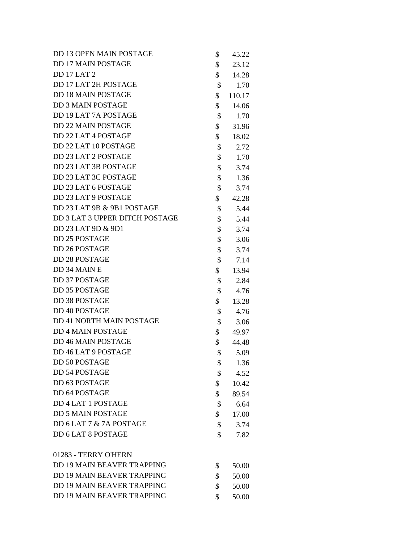| DD 13 OPEN MAIN POSTAGE           | \$<br>45.22  |
|-----------------------------------|--------------|
| <b>DD 17 MAIN POSTAGE</b>         | \$<br>23.12  |
| <b>DD 17 LAT 2</b>                | \$<br>14.28  |
| DD 17 LAT 2H POSTAGE              | \$<br>1.70   |
| <b>DD 18 MAIN POSTAGE</b>         | \$<br>110.17 |
| <b>DD 3 MAIN POSTAGE</b>          | \$<br>14.06  |
| DD 19 LAT 7A POSTAGE              | \$<br>1.70   |
| <b>DD 22 MAIN POSTAGE</b>         | \$<br>31.96  |
| DD 22 LAT 4 POSTAGE               | \$<br>18.02  |
| DD 22 LAT 10 POSTAGE              | \$<br>2.72   |
| DD 23 LAT 2 POSTAGE               | \$<br>1.70   |
| DD 23 LAT 3B POSTAGE              | \$<br>3.74   |
| DD 23 LAT 3C POSTAGE              | \$<br>1.36   |
| DD 23 LAT 6 POSTAGE               | \$<br>3.74   |
| DD 23 LAT 9 POSTAGE               | \$<br>42.28  |
| DD 23 LAT 9B & 9B1 POSTAGE        | \$<br>5.44   |
| DD 3 LAT 3 UPPER DITCH POSTAGE    | \$<br>5.44   |
| DD 23 LAT 9D & 9D1                | \$<br>3.74   |
| <b>DD 25 POSTAGE</b>              | \$<br>3.06   |
| DD 26 POSTAGE                     | \$<br>3.74   |
| <b>DD 28 POSTAGE</b>              | \$<br>7.14   |
| DD 34 MAIN E                      | \$<br>13.94  |
| <b>DD 37 POSTAGE</b>              | \$<br>2.84   |
| DD 35 POSTAGE                     | \$<br>4.76   |
| <b>DD 38 POSTAGE</b>              | \$<br>13.28  |
| DD 40 POSTAGE                     | \$<br>4.76   |
| DD 41 NORTH MAIN POSTAGE          | \$<br>3.06   |
| <b>DD 4 MAIN POSTAGE</b>          | \$<br>49.97  |
| <b>DD 46 MAIN POSTAGE</b>         | \$<br>44.48  |
| DD 46 LAT 9 POSTAGE               | \$<br>5.09   |
| <b>DD 50 POSTAGE</b>              | \$<br>1.36   |
| <b>DD 54 POSTAGE</b>              | \$<br>4.52   |
| DD 63 POSTAGE                     | \$<br>10.42  |
| DD 64 POSTAGE                     | \$<br>89.54  |
| <b>DD 4 LAT 1 POSTAGE</b>         | \$<br>6.64   |
| <b>DD 5 MAIN POSTAGE</b>          | \$<br>17.00  |
| DD 6 LAT 7 & 7A POSTAGE           | \$<br>3.74   |
| DD 6 LAT 8 POSTAGE                | \$<br>7.82   |
| 01283 - TERRY O'HERN              |              |
| <b>DD 19 MAIN BEAVER TRAPPING</b> | \$<br>50.00  |
| <b>DD 19 MAIN BEAVER TRAPPING</b> | \$<br>50.00  |
| <b>DD 19 MAIN BEAVER TRAPPING</b> | \$<br>50.00  |
| <b>DD 19 MAIN BEAVER TRAPPING</b> | \$<br>50.00  |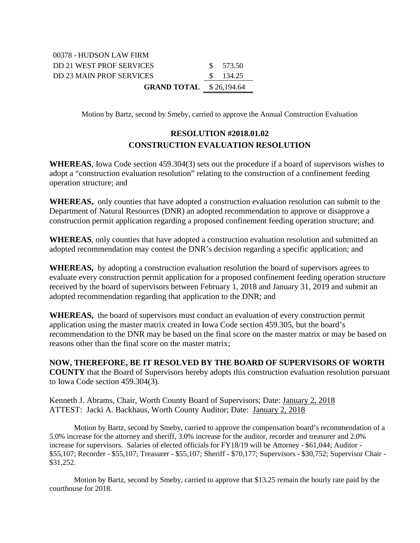| <b>GRAND TOTAL</b> $$26,194.64$ |  |           |
|---------------------------------|--|-----------|
| DD 23 MAIN PROF SERVICES        |  | \$ 134.25 |
| DD 21 WEST PROF SERVICES        |  | \$ 573.50 |
| 00378 - HUDSON LAW FIRM         |  |           |

Motion by Bartz, second by Smeby, carried to approve the Annual Construction Evaluation

## **RESOLUTION #2018.01.02 CONSTRUCTION EVALUATION RESOLUTION**

**WHEREAS**, Iowa Code section 459.304(3) sets out the procedure if a board of supervisors wishes to adopt a "construction evaluation resolution" relating to the construction of a confinement feeding operation structure; and

**WHEREAS,** only counties that have adopted a construction evaluation resolution can submit to the Department of Natural Resources (DNR) an adopted recommendation to approve or disapprove a construction permit application regarding a proposed confinement feeding operation structure; and

**WHEREAS**, only counties that have adopted a construction evaluation resolution and submitted an adopted recommendation may contest the DNR's decision regarding a specific application; and

**WHEREAS,** by adopting a construction evaluation resolution the board of supervisors agrees to evaluate every construction permit application for a proposed confinement feeding operation structure received by the board of supervisors between February 1, 2018 and January 31, 2019 and submit an adopted recommendation regarding that application to the DNR; and

**WHEREAS,** the board of supervisors must conduct an evaluation of every construction permit application using the master matrix created in Iowa Code section 459.305, but the board's recommendation to the DNR may be based on the final score on the master matrix or may be based on reasons other than the final score on the master matrix;

**NOW, THEREFORE, BE IT RESOLVED BY THE BOARD OF SUPERVISORS OF WORTH COUNTY** that the Board of Supervisors hereby adopts this construction evaluation resolution pursuant to Iowa Code section 459.304(3).

Kenneth J. Abrams, Chair, Worth County Board of Supervisors; Date: January 2, 2018 ATTEST: Jacki A. Backhaus, Worth County Auditor; Date: January 2, 2018

Motion by Bartz, second by Smeby, carried to approve the compensation board's recommendation of a 5.0% increase for the attorney and sheriff, 3.0% increase for the auditor, recorder and treasurer and 2.0% increase for supervisors. Salaries of elected officials for FY18/19 will be Attorney - \$61,044; Auditor - \$55,107; Recorder - \$55,107; Treasurer - \$55,107; Sheriff - \$70,177; Supervisors - \$30,752; Supervisor Chair - \$31,252.

Motion by Bartz, second by Smeby, carried to approve that \$13.25 remain the hourly rate paid by the courthouse for 2018.